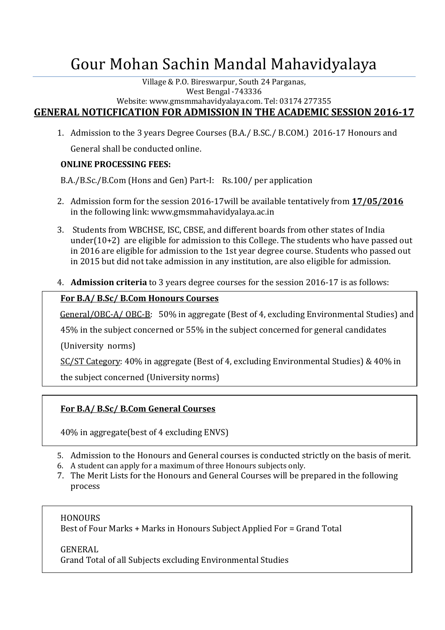# Gour Mohan Sachin Mandal Mahavidyalaya

Village & P.O. Bireswarpur, South 24 Parganas, West Bengal -743336

Website: www.gmsmmahavidyalaya.com. Tel: 03174 277355

**GENERAL NOTICFICATION FOR ADMISSION IN THE ACADEMIC SESSION 2016-17**

1. Admission to the 3 years Degree Courses (B.A./ B.SC./ B.COM.) 2016-17 Honours and General shall be conducted online.

# **ONLINE PROCESSING FEES:**

B.A./B.Sc./B.Com (Hons and Gen) Part-I: Rs.100/ per application

- 2. Admission form for the session 2016-17will be available tentatively from **17/05/2016** in the following link: www.gmsmmahavidyalaya.ac.in
- 3. Students from WBCHSE, ISC, CBSE, and different boards from other states of India under(10+2) are eligible for admission to this College. The students who have passed out in 2016 are eligible for admission to the 1st year degree course. Students who passed out in 2015 but did not take admission in any institution, are also eligible for admission.
- 4. **Admission criteria** to 3 years degree courses for the session 2016-17 is as follows:

# **For B.A/ B.Sc/ B.Com Honours Courses**

General/OBC-A/ OBC-B: 50% in aggregate (Best of 4, excluding Environmental Studies) and

45% in the subject concerned or 55% in the subject concerned for general candidates

(University norms)

SC/ST Category: 40% in aggregate (Best of 4, excluding Environmental Studies) & 40% in

the subject concerned (University norms)

# **For B.A/ B.Sc/ B.Com General Courses**

40% in aggregate(best of 4 excluding ENVS)

- 5. Admission to the Honours and General courses is conducted strictly on the basis of merit.
- 6. A student can apply for a maximum of three Honours subjects only.
- 7. The Merit Lists for the Honours and General Courses will be prepared in the following process

## **HONOURS**

Best of Four Marks + Marks in Honours Subject Applied For = Grand Total

GENERAL Grand Total of all Subjects excluding Environmental Studies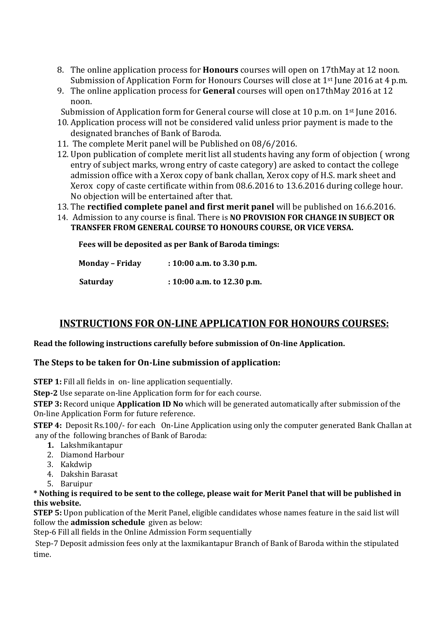- 8. The online application process for **Honours** courses will open on 17thMay at 12 noon. Submission of Application Form for Honours Courses will close at 1<sup>st</sup> June 2016 at 4 p.m.
- 9. The online application process for **General** courses will open on17thMay 2016 at 12 noon.

Submission of Application form for General course will close at 10 p.m. on 1<sup>st</sup> June 2016.

- 10. Application process will not be considered valid unless prior payment is made to the designated branches of Bank of Baroda.
- 11. The complete Merit panel will be Published on 08/6/2016.
- 12. Upon publication of complete merit list all students having any form of objection ( wrong entry of subject marks, wrong entry of caste category) are asked to contact the college admission office with a Xerox copy of bank challan, Xerox copy of H.S. mark sheet and Xerox copy of caste certificate within from 08.6.2016 to 13.6.2016 during college hour. No objection will be entertained after that.
- 13. The **rectified complete panel and first merit panel** will be published on 16.6.2016.
- 14. Admission to any course is final. There is **NO PROVISION FOR CHANGE IN SUBJECT OR TRANSFER FROM GENERAL COURSE TO HONOURS COURSE, OR VICE VERSA.**

 **Fees will be deposited as per Bank of Baroda timings:**

| <b>Monday - Friday</b> | $: 10:00$ a.m. to 3.30 p.m.    |
|------------------------|--------------------------------|
| <b>Saturday</b>        | : $10:00$ a.m. to $12.30$ p.m. |

# **INSTRUCTIONS FOR ON-LINE APPLICATION FOR HONOURS COURSES:**

#### **Read the following instructions carefully before submission of On-line Application.**

## **The Steps to be taken for On-Line submission of application:**

**STEP 1:** Fill all fields in on-line application sequentially.

**Step-2** Use separate on-line Application form for for each course.

**STEP 3:** Record unique **Application ID No** which will be generated automatically after submission of the On-line Application Form for future reference.

**STEP 4:** Deposit Rs.100/- for each On-Line Application using only the computer generated Bank Challan at any of the following branches of Bank of Baroda:

- **1.** Lakshmikantapur
- 2. Diamond Harbour
- 3. Kakdwip
- 4. Dakshin Barasat
- 5. Baruipur

**\* Nothing is required to be sent to the college, please wait for Merit Panel that will be published in this website.**

**STEP 5:** Upon publication of the Merit Panel, eligible candidates whose names feature in the said list will follow the **admission schedule** given as below:

Step-6 Fill all fields in the Online Admission Form sequentially

Step-7 Deposit admission fees only at the laxmikantapur Branch of Bank of Baroda within the stipulated time.